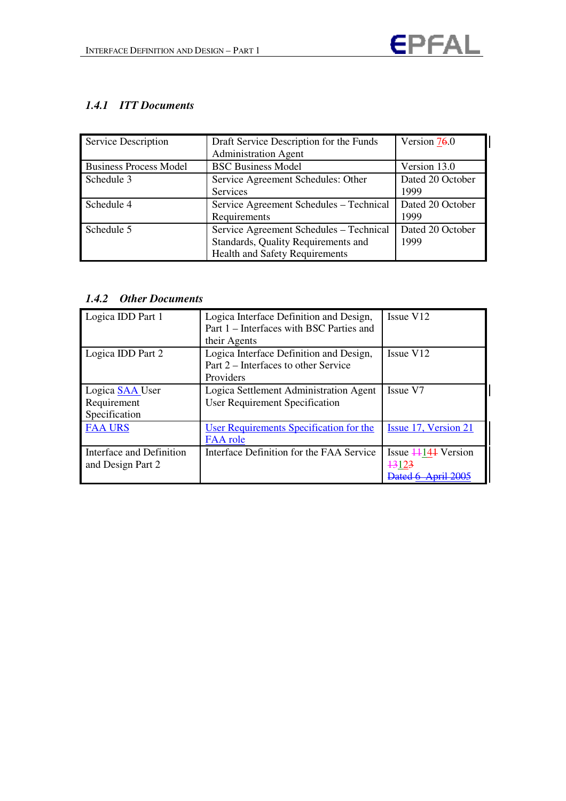

## *1.4.1 ITT Documents*

| <b>Service Description</b>    | Draft Service Description for the Funds<br><b>Administration Agent</b>                                                  | Version $76.0$           |
|-------------------------------|-------------------------------------------------------------------------------------------------------------------------|--------------------------|
| <b>Business Process Model</b> | <b>BSC Business Model</b>                                                                                               | Version 13.0             |
| Schedule 3                    | Service Agreement Schedules: Other<br><b>Services</b>                                                                   | Dated 20 October<br>1999 |
| Schedule 4                    | Service Agreement Schedules - Technical<br>Requirements                                                                 | Dated 20 October<br>1999 |
| Schedule 5                    | Service Agreement Schedules - Technical<br>Standards, Quality Requirements and<br><b>Health and Safety Requirements</b> | Dated 20 October<br>1999 |

## *1.4.2 Other Documents*

| Logica IDD Part 1        | Logica Interface Definition and Design,<br>Part 1 – Interfaces with BSC Parties and<br>their Agents | Issue V <sub>12</sub>         |
|--------------------------|-----------------------------------------------------------------------------------------------------|-------------------------------|
| Logica IDD Part 2        | Logica Interface Definition and Design,<br>Part 2 – Interfaces to other Service<br>Providers        | Issue V <sub>12</sub>         |
| Logica <b>SAA</b> User   | Logica Settlement Administration Agent                                                              | Issue V7                      |
| Requirement              | User Requirement Specification                                                                      |                               |
| Specification            |                                                                                                     |                               |
| <b>FAA URS</b>           | User Requirements Specification for the<br>FAA role                                                 | Issue 17, Version 21          |
| Interface and Definition | Interface Definition for the FAA Service                                                            | Issue $\frac{114}{4}$ Version |
| and Design Part 2        |                                                                                                     | +3123                         |
|                          |                                                                                                     |                               |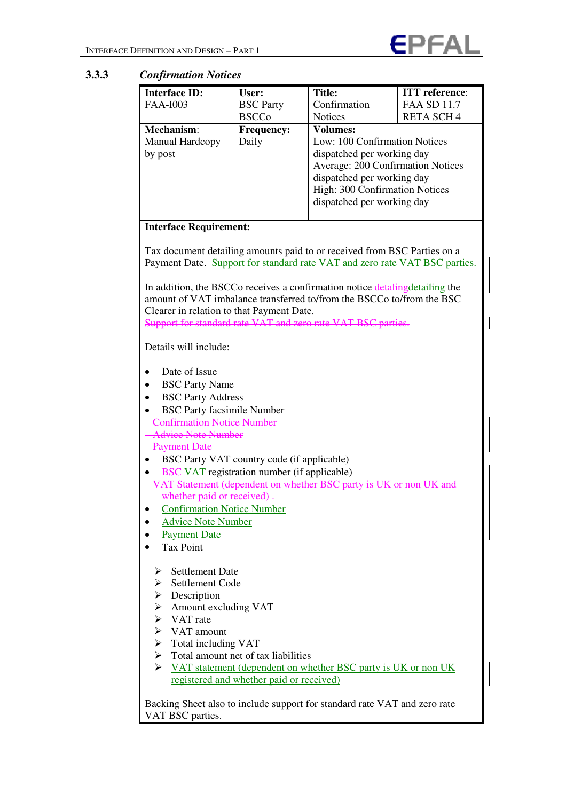

## **3.3.3** *Confirmation Notices*

| <b>Interface ID:</b>                                               | User:                                                                                                                   | <b>Title:</b>                                                                | <b>ITT</b> reference: |  |  |
|--------------------------------------------------------------------|-------------------------------------------------------------------------------------------------------------------------|------------------------------------------------------------------------------|-----------------------|--|--|
| <b>FAA-I003</b>                                                    | <b>BSC</b> Party                                                                                                        | Confirmation                                                                 | <b>FAA SD 11.7</b>    |  |  |
|                                                                    | <b>BSCCo</b>                                                                                                            | <b>Notices</b>                                                               | <b>RETA SCH4</b>      |  |  |
| Mechanism:                                                         | <b>Frequency:</b>                                                                                                       | <b>Volumes:</b>                                                              |                       |  |  |
| Manual Hardcopy                                                    | Daily                                                                                                                   | Low: 100 Confirmation Notices                                                |                       |  |  |
| by post                                                            |                                                                                                                         | dispatched per working day                                                   |                       |  |  |
|                                                                    |                                                                                                                         | Average: 200 Confirmation Notices                                            |                       |  |  |
|                                                                    |                                                                                                                         | dispatched per working day                                                   |                       |  |  |
|                                                                    |                                                                                                                         | High: 300 Confirmation Notices                                               |                       |  |  |
|                                                                    |                                                                                                                         | dispatched per working day                                                   |                       |  |  |
|                                                                    |                                                                                                                         |                                                                              |                       |  |  |
| <b>Interface Requirement:</b>                                      |                                                                                                                         |                                                                              |                       |  |  |
|                                                                    |                                                                                                                         |                                                                              |                       |  |  |
|                                                                    |                                                                                                                         | Tax document detailing amounts paid to or received from BSC Parties on a     |                       |  |  |
|                                                                    |                                                                                                                         | Payment Date. Support for standard rate VAT and zero rate VAT BSC parties.   |                       |  |  |
|                                                                    |                                                                                                                         |                                                                              |                       |  |  |
|                                                                    |                                                                                                                         | In addition, the BSCCo receives a confirmation notice detaling detailing the |                       |  |  |
|                                                                    |                                                                                                                         | amount of VAT imbalance transferred to/from the BSCCo to/from the BSC        |                       |  |  |
| Clearer in relation to that Payment Date.                          |                                                                                                                         |                                                                              |                       |  |  |
| Support for standard rate VAT and zero rate VAT BSC                |                                                                                                                         |                                                                              |                       |  |  |
|                                                                    |                                                                                                                         |                                                                              |                       |  |  |
| Details will include:                                              |                                                                                                                         |                                                                              |                       |  |  |
|                                                                    |                                                                                                                         |                                                                              |                       |  |  |
| Date of Issue                                                      |                                                                                                                         |                                                                              |                       |  |  |
| <b>BSC Party Name</b>                                              |                                                                                                                         |                                                                              |                       |  |  |
| <b>BSC Party Address</b>                                           |                                                                                                                         |                                                                              |                       |  |  |
| <b>BSC Party facsimile Number</b>                                  |                                                                                                                         |                                                                              |                       |  |  |
| <b>Confirmation Notice Number</b>                                  |                                                                                                                         |                                                                              |                       |  |  |
| <b>Advice Note Number</b>                                          |                                                                                                                         |                                                                              |                       |  |  |
| <b>Payment Date</b>                                                |                                                                                                                         |                                                                              |                       |  |  |
|                                                                    | BSC Party VAT country code (if applicable)                                                                              |                                                                              |                       |  |  |
|                                                                    |                                                                                                                         |                                                                              |                       |  |  |
|                                                                    | <b>BSC-VAT</b> registration number (if applicable)<br>VAT Statement (dependent on whether BSC party is UK or non UK and |                                                                              |                       |  |  |
| whether paid or received).                                         |                                                                                                                         |                                                                              |                       |  |  |
| <b>Confirmation Notice Number</b>                                  |                                                                                                                         |                                                                              |                       |  |  |
| <b>Advice Note Number</b>                                          |                                                                                                                         |                                                                              |                       |  |  |
|                                                                    |                                                                                                                         |                                                                              |                       |  |  |
| <b>Payment Date</b><br><b>Tax Point</b>                            |                                                                                                                         |                                                                              |                       |  |  |
|                                                                    |                                                                                                                         |                                                                              |                       |  |  |
| <b>Settlement Date</b>                                             |                                                                                                                         |                                                                              |                       |  |  |
| ➤<br><b>Settlement Code</b>                                        |                                                                                                                         |                                                                              |                       |  |  |
|                                                                    |                                                                                                                         |                                                                              |                       |  |  |
| $\triangleright$ Description                                       |                                                                                                                         |                                                                              |                       |  |  |
| $\triangleright$ Amount excluding VAT<br>$\triangleright$ VAT rate |                                                                                                                         |                                                                              |                       |  |  |
| $\triangleright$ VAT amount                                        |                                                                                                                         |                                                                              |                       |  |  |
|                                                                    |                                                                                                                         |                                                                              |                       |  |  |
| $\triangleright$ Total including VAT                               |                                                                                                                         |                                                                              |                       |  |  |
| Total amount net of tax liabilities<br>≻                           |                                                                                                                         |                                                                              |                       |  |  |
| ➤                                                                  | VAT statement (dependent on whether BSC party is UK or non UK                                                           |                                                                              |                       |  |  |
|                                                                    | registered and whether paid or received)                                                                                |                                                                              |                       |  |  |
|                                                                    |                                                                                                                         |                                                                              |                       |  |  |

Backing Sheet also to include support for standard rate VAT and zero rate VAT BSC parties.